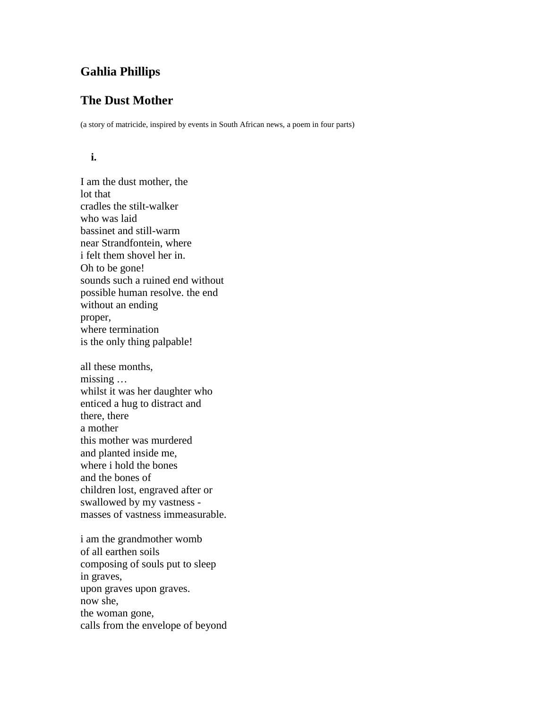# **Gahlia Phillips**

## **The Dust Mother**

(a story of matricide, inspired by events in South African news, a poem in four parts)

## **i.**

I am the dust mother, the lot that cradles the stilt-walker who was laid bassinet and still-warm near Strandfontein, where i felt them shovel her in. Oh to be gone! sounds such a ruined end without possible human resolve. the end without an ending proper, where termination is the only thing palpable! all these months, missing … whilst it was her daughter who enticed a hug to distract and

there, there a mother this mother was murdered and planted inside me, where i hold the bones and the bones of children lost, engraved after or swallowed by my vastness masses of vastness immeasurable.

i am the grandmother womb of all earthen soils composing of souls put to sleep in graves, upon graves upon graves. now she, the woman gone, calls from the envelope of beyond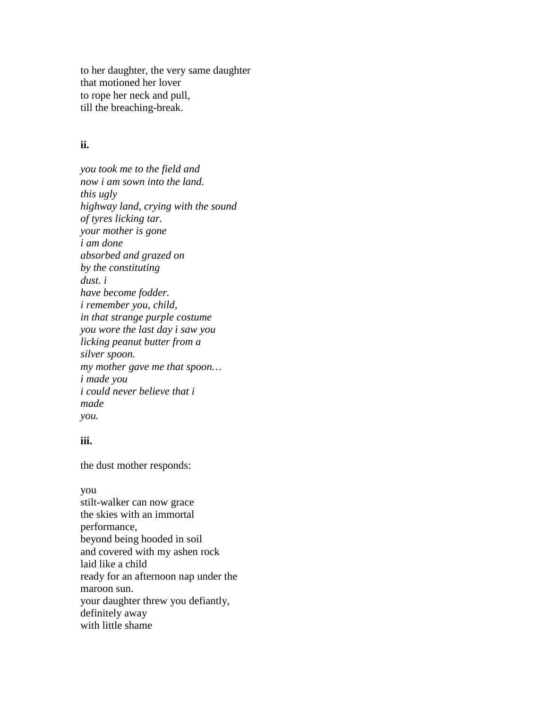to her daughter, the very same daughter that motioned her lover to rope her neck and pull, till the breaching-break.

### **ii.**

*you took me to the field and now i am sown into the land. this ugly highway land, crying with the sound of tyres licking tar. your mother is gone i am done absorbed and grazed on by the constituting dust. i have become fodder. i remember you, child, in that strange purple costume you wore the last day i saw you licking peanut butter from a silver spoon. my mother gave me that spoon… i made you i could never believe that i made you.*

### **iii.**

the dust mother responds:

you stilt-walker can now grace the skies with an immortal performance, beyond being hooded in soil and covered with my ashen rock laid like a child ready for an afternoon nap under the maroon sun. your daughter threw you defiantly, definitely away with little shame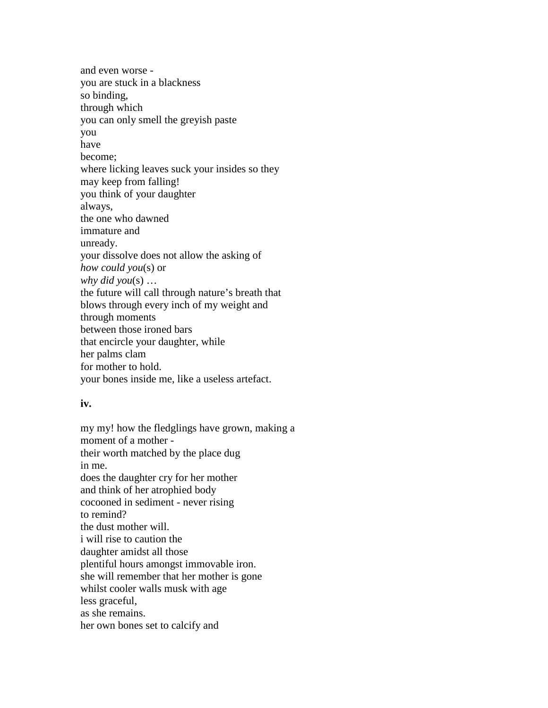and even worse you are stuck in a blackness so binding, through which you can only smell the greyish paste you have become; where licking leaves suck your insides so they may keep from falling! you think of your daughter always, the one who dawned immature and unready. your dissolve does not allow the asking of *how could you*(s) or *why did you*(s) … the future will call through nature's breath that blows through every inch of my weight and through moments between those ironed bars that encircle your daughter, while her palms clam for mother to hold. your bones inside me, like a useless artefact.

### **iv.**

my my! how the fledglings have grown, making a moment of a mother their worth matched by the place dug in me. does the daughter cry for her mother and think of her atrophied body cocooned in sediment - never rising to remind? the dust mother will. i will rise to caution the daughter amidst all those plentiful hours amongst immovable iron. she will remember that her mother is gone whilst cooler walls musk with age less graceful, as she remains. her own bones set to calcify and